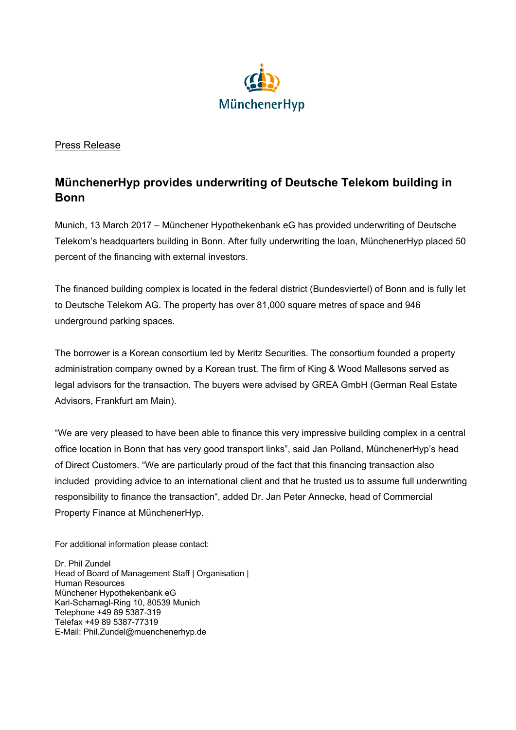

## Press Release

## **MünchenerHyp provides underwriting of Deutsche Telekom building in Bonn**

Munich, 13 March 2017 – Münchener Hypothekenbank eG has provided underwriting of Deutsche Telekom's headquarters building in Bonn. After fully underwriting the loan, MünchenerHyp placed 50 percent of the financing with external investors.

The financed building complex is located in the federal district (Bundesviertel) of Bonn and is fully let to Deutsche Telekom AG. The property has over 81,000 square metres of space and 946 underground parking spaces.

The borrower is a Korean consortium led by Meritz Securities. The consortium founded a property administration company owned by a Korean trust. The firm of King & Wood Mallesons served as legal advisors for the transaction. The buyers were advised by GREA GmbH (German Real Estate Advisors, Frankfurt am Main).

"We are very pleased to have been able to finance this very impressive building complex in a central office location in Bonn that has very good transport links", said Jan Polland, MünchenerHyp's head of Direct Customers. "We are particularly proud of the fact that this financing transaction also included providing advice to an international client and that he trusted us to assume full underwriting responsibility to finance the transaction", added Dr. Jan Peter Annecke, head of Commercial Property Finance at MünchenerHyp.

For additional information please contact:

Dr. Phil Zundel Head of Board of Management Staff | Organisation | Human Resources Münchener Hypothekenbank eG Karl-Scharnagl-Ring 10, 80539 Munich Telephone +49 89 5387-319 Telefax +49 89 5387-77319 E-Mail: Phil.Zundel@muenchenerhyp.de